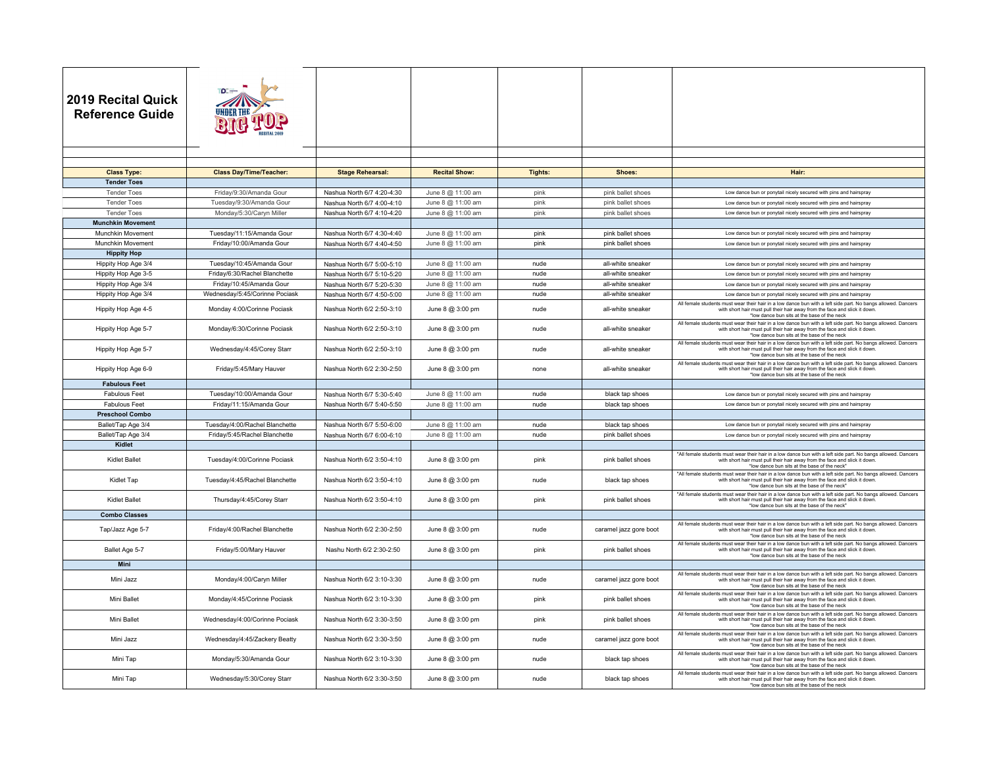| 2019 Recital Quick<br><b>Reference Guide</b> |                                |                            |                      |         |                        |                                                                                                                                                                                                                                             |
|----------------------------------------------|--------------------------------|----------------------------|----------------------|---------|------------------------|---------------------------------------------------------------------------------------------------------------------------------------------------------------------------------------------------------------------------------------------|
|                                              |                                |                            |                      |         |                        |                                                                                                                                                                                                                                             |
| <b>Class Type:</b>                           | <b>Class Day/Time/Teacher:</b> | <b>Stage Rehearsal:</b>    | <b>Recital Show:</b> | Tights: | Shoes:                 | Hair:                                                                                                                                                                                                                                       |
| <b>Tender Toes</b>                           |                                |                            |                      |         |                        |                                                                                                                                                                                                                                             |
| <b>Tender Toes</b>                           | Friday/9:30/Amanda Gour        | Nashua North 6/7 4:20-4:30 | June 8 @ 11:00 am    | pink    | pink ballet shoes      | Low dance bun or ponytail nicely secured with pins and hairspray                                                                                                                                                                            |
| <b>Tender Toes</b>                           | Tuesday/9:30/Amanda Gour       | Nashua North 6/7 4:00-4:10 | June 8 @ 11:00 am    | pink    | pink ballet shoes      | Low dance bun or ponytail nicely secured with pins and hairspray                                                                                                                                                                            |
| <b>Tender Toes</b>                           | Monday/5:30/Caryn Miller       | Nashua North 6/7 4:10-4:20 | June 8 @ 11:00 am    | pink    | pink ballet shoes      | Low dance bun or ponytail nicely secured with pins and hairspray                                                                                                                                                                            |
| <b>Munchkin Movement</b>                     |                                |                            |                      |         |                        |                                                                                                                                                                                                                                             |
| Munchkin Movement                            | Tuesday/11:15/Amanda Gour      | Nashua North 6/7 4:30-4:40 | June 8 @ 11:00 am    | pink    | pink ballet shoes      | Low dance bun or ponytail nicely secured with pins and hairspray                                                                                                                                                                            |
| Munchkin Movement                            | Friday/10:00/Amanda Gour       | Nashua North 6/7 4:40-4:50 | June 8 @ 11:00 am    | pink    | pink ballet shoes      | Low dance bun or ponytail nicely secured with pins and hairspray                                                                                                                                                                            |
| <b>Hippity Hop</b>                           |                                |                            |                      |         |                        |                                                                                                                                                                                                                                             |
| Hippity Hop Age 3/4                          | Tuesday/10:45/Amanda Gour      | Nashua North 6/7 5:00-5:10 | June 8 @ 11:00 am    | nude    | all-white sneaker      | Low dance bun or ponytail nicely secured with pins and hairspray                                                                                                                                                                            |
| Hippity Hop Age 3-5                          | Friday/6:30/Rachel Blanchette  | Nashua North 6/7 5:10-5:20 | June 8 @ 11:00 am    | nude    | all-white sneaker      | Low dance bun or ponytail nicely secured with pins and hairspray                                                                                                                                                                            |
| Hippity Hop Age 3/4                          | Friday/10:45/Amanda Gour       | Nashua North 6/7 5:20-5:30 | June 8 @ 11:00 am    | nude    | all-white sneaker      | Low dance bun or ponytail nicely secured with pins and hairspray                                                                                                                                                                            |
| Hippity Hop Age 3/4                          | Wednesday/5:45/Corinne Pociask | Nashua North 6/7 4:50-5:00 | June 8 @ 11:00 am    | nude    | all-white sneaker      | Low dance bun or ponytail nicely secured with pins and hairspray                                                                                                                                                                            |
| Hippity Hop Age 4-5                          | Monday 4:00/Corinne Pociask    | Nashua North 6/2 2:50-3:10 | June 8 @ 3:00 pm     | nude    | all-white sneaker      | All female students must wear their hair in a low dance bun with a left side part. No bangs allowed. Dancers<br>with short hair must pull their hair away from the face and slick it down<br>*low dance bun sits at the base of the neck    |
| Hippity Hop Age 5-7                          | Monday/6:30/Corinne Pociask    | Nashua North 6/2 2:50-3:10 | June 8 @ 3:00 pm     | nude    | all-white sneaker      | All female students must wear their hair in a low dance bun with a left side part. No bangs allowed. Dancers<br>with short hair must pull their hair away from the face and slick it down<br>*low dance bun sits at the base of the neck    |
| Hippity Hop Age 5-7                          | Wednesday/4:45/Corey Starr     | Nashua North 6/2 2:50-3:10 | June 8 @ 3:00 pm     | nude    | all-white sneaker      | All female students must wear their hair in a low dance bun with a left side part. No bangs allowed. Dancers<br>with short hair must pull their hair away from the face and slick it down<br>*low dance bun sits at the base of the neck    |
| Hippity Hop Age 6-9                          | Friday/5:45/Mary Hauver        | Nashua North 6/2 2:30-2:50 | June 8 @ 3:00 pm     | none    | all-white sneaker      | All female students must wear their hair in a low dance bun with a left side part. No bangs allowed. Dancers<br>with short hair must pull their hair away from the face and slick it down<br>*low dance bun sits at the base of the neck    |
| <b>Fabulous Feet</b>                         |                                |                            |                      |         |                        |                                                                                                                                                                                                                                             |
| <b>Fabulous Feet</b>                         | Tuesday/10:00/Amanda Gour      | Nashua North 6/7 5:30-5:40 | June 8 @ 11:00 am    | nude    | black tap shoes        | Low dance bun or ponytail nicely secured with pins and hairspray                                                                                                                                                                            |
| <b>Fabulous Feet</b>                         | Friday/11:15/Amanda Gour       | Nashua North 6/7 5:40-5:50 | June 8 @ 11:00 am    | nude    | black tap shoes        | Low dance bun or ponytail nicely secured with pins and hairspray                                                                                                                                                                            |
| <b>Preschool Combo</b>                       |                                |                            |                      |         |                        |                                                                                                                                                                                                                                             |
| Ballet/Tap Age 3/4                           | Tuesday/4:00/Rachel Blanchette | Nashua North 6/7 5:50-6:00 | June 8 @ 11:00 am    | nude    | black tap shoes        | Low dance bun or ponytail nicely secured with pins and hairspray                                                                                                                                                                            |
| Ballet/Tap Age 3/4<br>Kidlet                 | Friday/5:45/Rachel Blanchette  | Nashua North 6/7 6:00-6:10 | June 8 @ 11:00 am    | nude    | pink ballet shoes      | Low dance bun or ponytail nicely secured with pins and hairspray                                                                                                                                                                            |
|                                              |                                |                            |                      |         |                        | "All female students must wear their hair in a low dance bun with a left side part. No bangs allowed. Dancers                                                                                                                               |
| Kidlet Ballet                                | Tuesday/4:00/Corinne Pociask   | Nashua North 6/2 3:50-4:10 | June 8 @ 3:00 pm     | pink    | pink ballet shoes      | with short hair must pull their hair away from the face and slick it down<br>*low dance bun sits at the base of the neck"                                                                                                                   |
| Kidlet Tap                                   | Tuesday/4:45/Rachel Blanchette | Nashua North 6/2 3:50-4:10 | June 8 @ 3:00 pm     | nude    | black tap shoes        | "All female students must wear their hair in a low dance bun with a left side part. No bangs allowed. Dancers<br>with short hair must pull their hair away from the face and slick it down.<br>*low dance bun sits at the base of the neck' |
| <b>Kidlet Ballet</b>                         | Thursday/4:45/Corey Starr      | Nashua North 6/2 3:50-4:10 | June 8 @ 3:00 pm     | pink    | pink ballet shoes      | "All female students must wear their hair in a low dance bun with a left side part. No bangs allowed. Dancers<br>with short hair must pull their hair away from the face and slick it down<br>*low dance bun sits at the base of the neck"  |
| <b>Combo Classes</b>                         |                                |                            |                      |         |                        |                                                                                                                                                                                                                                             |
| Tap/Jazz Age 5-7                             | Friday/4:00/Rachel Blanchette  | Nashua North 6/2 2:30-2:50 | June 8 @ 3:00 pm     | nude    | caramel jazz gore boot | All female students must wear their hair in a low dance bun with a left side part. No bangs allowed. Dancers<br>with short hair must pull their hair away from the face and slick it down.<br>*low dance bun sits at the base of the neck   |
| Ballet Age 5-7                               | Friday/5:00/Mary Hauver        | Nashu North 6/2 2:30-2:50  | June 8 @ 3:00 pm     | pink    | pink ballet shoes      | All female students must wear their hair in a low dance bun with a left side part. No bangs allowed. Dancers<br>with short hair must pull their hair away from the face and slick it dow<br>*low dance bun sits at the base of the neck     |
| <b>Mini</b>                                  |                                |                            |                      |         |                        |                                                                                                                                                                                                                                             |
| Mini Jazz                                    | Monday/4:00/Caryn Miller       | Nashua North 6/2 3:10-3:30 | June 8 @ 3:00 pm     | nude    | caramel jazz gore boot | All female students must wear their hair in a low dance bun with a left side part. No bangs allowed. Dancers<br>with short hair must pull their hair away from the face and slick it down<br>*low dance bun sits at the base of the neck    |
| Mini Ballet                                  | Monday/4:45/Corinne Pociask    | Nashua North 6/2 3:10-3:30 | June 8 @ 3:00 pm     | pink    | pink ballet shoes      | All female students must wear their hair in a low dance bun with a left side part. No bangs allowed. Dancers<br>with short hair must pull their hair away from the face and slick it down<br>*low dance bun sits at the base of the neck    |
| Mini Ballet                                  | Wednesday/4:00/Corinne Pociask | Nashua North 6/2 3:30-3:50 | June 8 @ 3:00 pm     | pink    | pink ballet shoes      | All female students must wear their hair in a low dance bun with a left side part. No bangs allowed. Dancers<br>with short hair must pull their hair away from the face and slick it down.<br>*low dance bun sits at the base of the neck   |
| Mini Jazz                                    | Wednesday/4:45/Zackery Beatty  | Nashua North 6/2 3:30-3:50 | June 8 @ 3:00 pm     | nude    | caramel jazz gore boot | All female students must wear their hair in a low dance bun with a left side part. No bangs allowed. Dancers<br>with short hair must pull their hair away from the face and slick it down<br>*low dance bun sits at the base of the neck    |
| Mini Tap                                     | Monday/5:30/Amanda Gour        | Nashua North 6/2 3:10-3:30 | June 8 @ 3:00 pm     | nude    | black tap shoes        | All female students must wear their hair in a low dance bun with a left side part. No bangs allowed. Dancers<br>with short hair must pull their hair away from the face and slick it down<br>*low dance bun sits at the base of the neck    |
| Mini Tap                                     | Wednesday/5:30/Corey Starr     | Nashua North 6/2 3:30-3:50 | June 8 @ 3:00 pm     | nude    | black tap shoes        | All female students must wear their hair in a low dance bun with a left side part. No bangs allowed. Dancers<br>with short hair must pull their hair away from the face and slick it down<br>*low dance bun sits at the base of the neck    |
|                                              |                                |                            |                      |         |                        |                                                                                                                                                                                                                                             |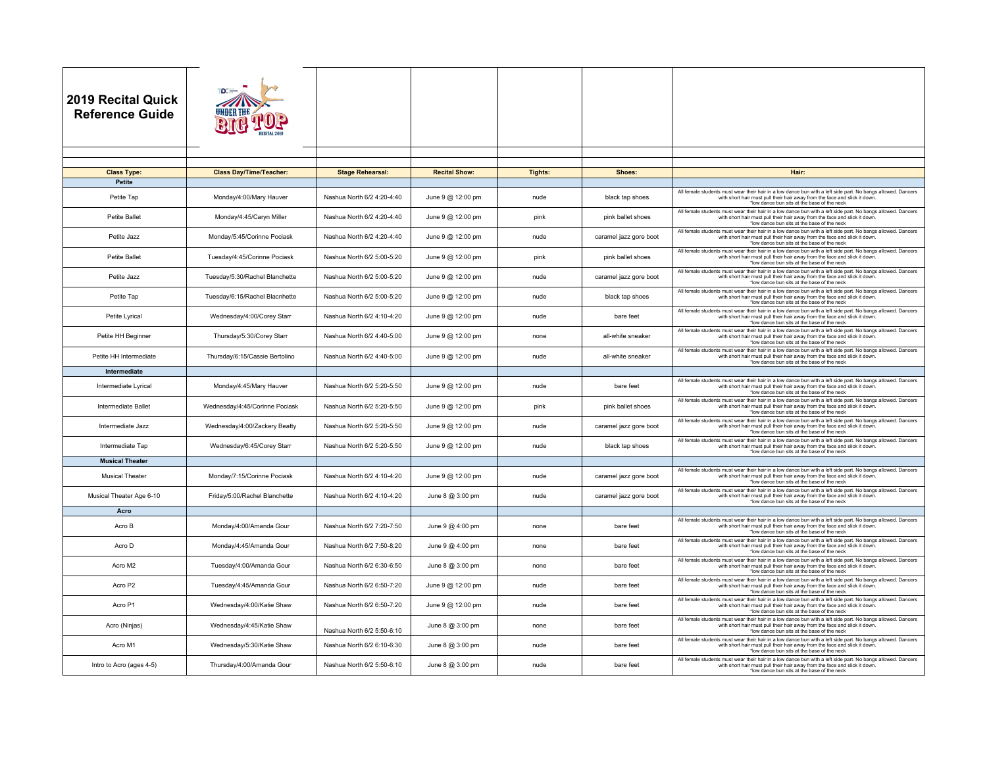| <b>2019 Recital Quick</b><br><b>Reference Guide</b> |                                |                            |                      |                |                        |                                                                                                                                                                                                                                           |
|-----------------------------------------------------|--------------------------------|----------------------------|----------------------|----------------|------------------------|-------------------------------------------------------------------------------------------------------------------------------------------------------------------------------------------------------------------------------------------|
|                                                     |                                |                            |                      |                |                        |                                                                                                                                                                                                                                           |
|                                                     | <b>Class Day/Time/Teacher:</b> | <b>Stage Rehearsal:</b>    | <b>Recital Show:</b> | <b>Tights:</b> | Shoes:                 | Hair:                                                                                                                                                                                                                                     |
| <b>Class Type:</b><br>Petite                        |                                |                            |                      |                |                        |                                                                                                                                                                                                                                           |
| Petite Tap                                          | Monday/4:00/Mary Hauver        | Nashua North 6/2 4:20-4:40 | June 9 @ 12:00 pm    | nude           | black tap shoes        | All female students must wear their hair in a low dance bun with a left side part. No bangs allowed. Dancers<br>with short hair must pull their hair away from the face and slick it down.<br>*low dance bun sits at the base of the neck |
| Petite Ballet                                       | Monday/4:45/Caryn Miller       | Nashua North 6/2 4:20-4:40 | June 9 @ 12:00 pm    | pink           | pink ballet shoes      | All female students must wear their hair in a low dance bun with a left side part. No bangs allowed. Dancers<br>with short hair must pull their hair away from the face and slick it down.<br>*low dance bun sits at the base of the neck |
| Petite Jazz                                         | Monday/5:45/Corinne Pociask    | Nashua North 6/2 4:20-4:40 | June 9 @ 12:00 pm    | nude           | caramel jazz gore boot | All female students must wear their hair in a low dance bun with a left side part. No bangs allowed. Dancers<br>with short hair must pull their hair away from the face and slick it down.<br>*low dance bun sits at the base of the neck |
| Petite Ballet                                       | Tuesday/4:45/Corinne Pociask   | Nashua North 6/2 5:00-5:20 | June 9 @ 12:00 pm    | pink           | pink ballet shoes      | All female students must wear their hair in a low dance bun with a left side part. No bangs allowed. Dancers<br>with short hair must pull their hair away from the face and slick it down<br>*low dance bun sits at the base of the neck  |
| Petite Jazz                                         | Tuesday/5:30/Rachel Blanchette | Nashua North 6/2 5:00-5:20 | June 9 @ 12:00 pm    | nude           | caramel jazz gore boot | All female students must wear their hair in a low dance bun with a left side part. No bangs allowed. Dancers<br>with short hair must pull their hair away from the face and slick it down.<br>*low dance bun sits at the base of the neck |
| Petite Tap                                          | Tuesday/6:15/Rachel Blacnhette | Nashua North 6/2 5:00-5:20 | June 9 @ 12:00 pm    | nude           | black tap shoes        | All female students must wear their hair in a low dance bun with a left side part. No bangs allowed. Dancers<br>with short hair must pull their hair away from the face and slick it down.<br>*low dance bun sits at the base of the neck |
| Petite Lyrical                                      | Wednesday/4:00/Corey Starr     | Nashua North 6/2 4:10-4:20 | June 9 @ 12:00 pm    | nude           | bare feet              | All female students must wear their hair in a low dance bun with a left side part. No bangs allowed. Dancers<br>with short hair must pull their hair away from the face and slick it down.<br>*low dance bun sits at the base of the neck |
| Petite HH Beginner                                  | Thursday/5:30/Corey Starr      | Nashua North 6/2 4:40-5:00 | June 9 @ 12:00 pm    | none           | all-white sneaker      | All female students must wear their hair in a low dance bun with a left side part. No bangs allowed, Dancers<br>with short hair must pull their hair away from the face and slick it down<br>*low dance bun sits at the base of the neck  |
| Petite HH Intermediate                              | Thursday/6:15/Cassie Bertolino | Nashua North 6/2 4:40-5:00 | June 9 @ 12:00 pm    | nude           | all-white sneaker      | All female students must wear their hair in a low dance bun with a left side part. No bangs allowed. Dancers<br>with short hair must pull their hair away from the face and slick it down.<br>*low dance bun sits at the base of the neck |
| Intermediate                                        |                                |                            |                      |                |                        |                                                                                                                                                                                                                                           |
| Intermediate Lyrical                                | Monday/4:45/Mary Hauver        | Nashua North 6/2 5:20-5:50 | June 9 @ 12:00 pm    | nude           | bare feet              | All female students must wear their hair in a low dance bun with a left side part. No bangs allowed. Dancers<br>with short hair must pull their hair away from the face and slick it down<br>*low dance bun sits at the base of the neck  |
| Intermediate Ballet                                 | Wednesday/4:45/Corinne Pociask | Nashua North 6/2 5:20-5:50 | June 9 @ 12:00 pm    | pink           | pink ballet shoes      | All female students must wear their hair in a low dance bun with a left side part. No bangs allowed. Dancers<br>with short hair must pull their hair away from the face and slick it down<br>*low dance bun sits at the base of the neck  |
| Intermediate Jazz                                   | Wednesday/4:00/Zackery Beatty  | Nashua North 6/2 5:20-5:50 | June 9 @ 12:00 pm    | nude           | caramel jazz gore boot | All female students must wear their hair in a low dance bun with a left side part. No bangs allowed. Dancers<br>with short hair must pull their hair away from the face and slick it down.<br>*low dance bun sits at the base of the neck |
| Intermediate Tap                                    | Wednesday/6:45/Corey Starr     | Nashua North 6/2 5:20-5:50 | June 9 @ 12:00 pm    | nude           | black tap shoes        | All female students must wear their hair in a low dance bun with a left side part. No bangs allowed. Dancers<br>with short hair must pull their hair away from the face and slick it down<br>*low dance bun sits at the base of the neck  |
| <b>Musical Theater</b>                              |                                |                            |                      |                |                        |                                                                                                                                                                                                                                           |
| <b>Musical Theater</b>                              | Monday/7:15/Corinne Pociask    | Nashua North 6/2 4:10-4:20 | June 9 @ 12:00 pm    | nude           | caramel jazz gore boot | All female students must wear their hair in a low dance bun with a left side part. No bangs allowed. Dancers<br>with short hair must pull their hair away from the face and slick it down<br>*low dance bun sits at the base of the neck  |
| Musical Theater Age 6-10                            | Friday/5:00/Rachel Blanchette  | Nashua North 6/2 4:10-4:20 | June 8 @ 3:00 pm     | nude           | caramel jazz gore boot | All female students must wear their hair in a low dance bun with a left side part. No bangs allowed. Dancers<br>with short hair must pull their hair away from the face and slick it down.<br>*low dance bun sits at the base of the neck |
| Acro                                                |                                |                            |                      |                |                        |                                                                                                                                                                                                                                           |
| Acro B                                              | Monday/4:00/Amanda Gour        | Nashua North 6/2 7:20-7:50 | June 9 @ 4:00 pm     | none           | bare feet              | All female students must wear their hair in a low dance bun with a left side part. No bangs allowed. Dancers<br>with short hair must pull their hair away from the face and slick it down<br>*low dance bun sits at the base of the neck  |
| Acro D                                              | Monday/4:45/Amanda Gour        | Nashua North 6/2 7:50-8:20 | June 9 @ 4:00 pm     | none           | bare feet              | All female students must wear their hair in a low dance bun with a left side part. No bangs allowed. Dancers<br>with short hair must pull their hair away from the face and slick it down.<br>*low dance bun sits at the base of the neck |
| Acro M2                                             | Tuesday/4:00/Amanda Gour       | Nashua North 6/2 6:30-6:50 | June 8 @ 3:00 pm     | none           | bare feet              | All female students must wear their hair in a low dance bun with a left side part. No bangs allowed. Dancers<br>with short hair must pull their hair away from the face and slick it down.<br>*low dance bun sits at the base of the neck |
| Acro P2                                             | Tuesday/4:45/Amanda Gour       | Nashua North 6/2 6:50-7:20 | June 9 @ 12:00 pm    | nude           | bare feet              | All female students must wear their hair in a low dance bun with a left side part. No bangs allowed. Dancers<br>with short hair must pull their hair away from the face and slick it down.<br>*low dance bun sits at the base of the neck |
| Acro P1                                             | Wednesday/4:00/Katie Shaw      | Nashua North 6/2 6:50-7:20 | June 9 @ 12:00 pm    | nude           | bare feet              | All female students must wear their hair in a low dance bun with a left side part. No bangs allowed. Dancers<br>with short hair must pull their hair away from the face and slick it down.<br>*low dance bun sits at the base of the neck |
| Acro (Ninjas)                                       | Wednesday/4:45/Katie Shaw      | Nashua North 6/2 5:50-6:10 | June 8 @ 3:00 pm     | none           | bare feet              | All female students must wear their hair in a low dance bun with a left side part. No bangs allowed. Dancers<br>with short hair must pull their hair away from the face and slick it down.<br>*low dance bun sits at the base of the neck |
| Acro M1                                             | Wednesday/5:30/Katie Shaw      | Nashua North 6/2 6:10-6:30 | June 8 @ 3:00 pm     | nude           | bare feet              | All female students must wear their hair in a low dance bun with a left side part. No bangs allowed. Dancers<br>with short hair must pull their hair away from the face and slick it down.<br>*low dance bun sits at the base of the neck |
| Intro to Acro (ages 4-5)                            | Thursday/4:00/Amanda Gour      | Nashua North 6/2 5:50-6:10 | June 8 @ 3:00 pm     | nude           | bare feet              | All female students must wear their hair in a low dance bun with a left side part. No bangs allowed. Dancers<br>with short hair must pull their hair away from the face and slick it down<br>*low dance bun sits at the base of the neck  |
|                                                     |                                |                            |                      |                |                        |                                                                                                                                                                                                                                           |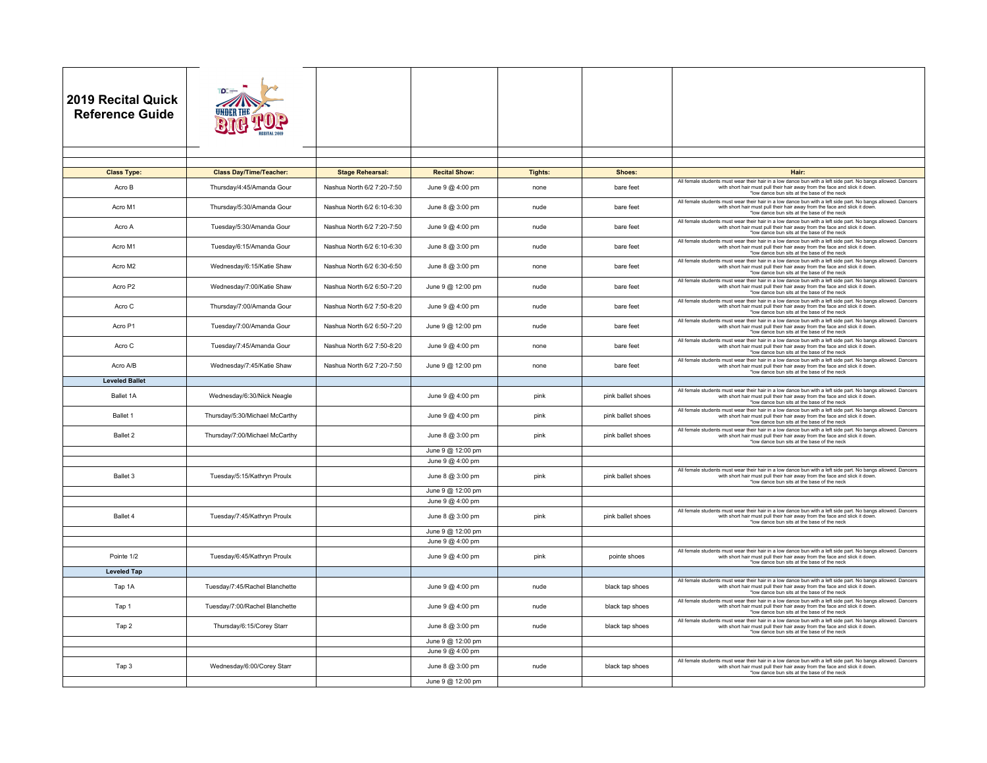| <b>2019 Recital Quick</b><br><b>Reference Guide</b> |                                |                            |                      |         |                   |                                                                                                                                                                                                                                                                                          |
|-----------------------------------------------------|--------------------------------|----------------------------|----------------------|---------|-------------------|------------------------------------------------------------------------------------------------------------------------------------------------------------------------------------------------------------------------------------------------------------------------------------------|
|                                                     |                                |                            |                      |         |                   |                                                                                                                                                                                                                                                                                          |
| <b>Class Type:</b>                                  | <b>Class Day/Time/Teacher:</b> | <b>Stage Rehearsal:</b>    | <b>Recital Show:</b> | Tights: | Shoes:            | Hair:                                                                                                                                                                                                                                                                                    |
| Acro B                                              | Thursday/4:45/Amanda Gour      | Nashua North 6/2 7:20-7:50 | June 9 @ 4:00 pm     | none    | bare feet         | All female students must wear their hair in a low dance bun with a left side part. No bangs allowed. Dancers<br>with short hair must pull their hair away from the face and slick it down.<br>*low dance bun sits at the base of the neck                                                |
| Acro M1                                             | Thursday/5:30/Amanda Gour      | Nashua North 6/2 6:10-6:30 | June 8 @ 3:00 pm     | nude    | bare feet         | All female students must wear their hair in a low dance bun with a left side part. No bangs allowed. Dancers<br>with short hair must pull their hair away from the face and slick it down.<br>*low dance bun sits at the base of the neck                                                |
| Acro A                                              | Tuesday/5:30/Amanda Gour       | Nashua North 6/2 7:20-7:50 | June 9 @ 4:00 pm     | nude    | bare feet         | All female students must wear their hair in a low dance bun with a left side part. No bangs allowed. Dancers<br>with short hair must pull their hair away from the face and slick it down.                                                                                               |
| Acro M1                                             | Tuesday/6:15/Amanda Gour       | Nashua North 6/2 6:10-6:30 | June 8 @ 3:00 pm     | nude    | bare feet         | *low dance bun sits at the base of the neck<br>All female students must wear their hair in a low dance bun with a left side part. No bangs allowed. Dancers<br>with short hair must pull their hair away from the face and slick it down.                                                |
| Acro M2                                             | Wednesday/6:15/Katie Shaw      | Nashua North 6/2 6:30-6:50 | June 8 @ 3:00 pm     | none    | bare feet         | *low dance bun sits at the base of the neck<br>All female students must wear their hair in a low dance bun with a left side part. No bangs allowed. Dancers<br>with short hair must pull their hair away from the face and slick it down.                                                |
| Acro P2                                             | Wednesday/7:00/Katie Shaw      | Nashua North 6/2 6:50-7:20 | June 9 @ 12:00 pm    | nude    | bare feet         | *low dance bun sits at the base of the neck<br>All female students must wear their hair in a low dance bun with a left side part. No bangs allowed. Dancers<br>with short hair must pull their hair away from the face and slick it down.                                                |
| Acro C                                              | Thursday/7:00/Amanda Gour      | Nashua North 6/2 7:50-8:20 | June 9 @ 4:00 pm     | nude    | bare feet         | *low dance bun sits at the base of the neck<br>All female students must wear their hair in a low dance bun with a left side part. No bangs allowed. Dancers<br>with short hair must pull their hair away from the face and slick it down.<br>*low dance bun sits at the base of the neck |
| Acro P1                                             | Tuesday/7:00/Amanda Gour       | Nashua North 6/2 6:50-7:20 | June 9 @ 12:00 pm    | nude    | bare feet         | All female students must wear their hair in a low dance bun with a left side part. No bangs allowed. Dancers<br>with short hair must pull their hair away from the face and slick it down.<br>*low dance bun sits at the base of the neck                                                |
| Acro C                                              | Tuesday/7:45/Amanda Gour       | Nashua North 6/2 7:50-8:20 | June 9 @ 4:00 pm     | none    | bare feet         | All female students must wear their hair in a low dance bun with a left side part. No bangs allowed. Dancers<br>with short hair must pull their hair away from the face and slick it down.<br>*low dance bun sits at the base of the neck                                                |
| Acro A/B                                            | Wednesday/7:45/Katie Shaw      | Nashua North 6/2 7:20-7:50 | June 9 @ 12:00 pm    | none    | bare feet         | All female students must wear their hair in a low dance bun with a left side part. No bangs allowed. Dancers<br>with short hair must pull their hair away from the face and slick it down.<br>*low dance bun sits at the base of the neck                                                |
| <b>Leveled Ballet</b>                               |                                |                            |                      |         |                   |                                                                                                                                                                                                                                                                                          |
| Ballet 1A                                           | Wednesday/6:30/Nick Neagle     |                            | June 9 @ 4:00 pm     | pink    | pink ballet shoes | All female students must wear their hair in a low dance bun with a left side part. No bangs allowed. Dancers<br>with short hair must pull their hair away from the face and slick it down.<br>*low dance bun sits at the base of the neck                                                |
| Ballet 1                                            | Thursday/5:30/Michael McCarthy |                            | June 9 @ 4:00 pm     | pink    | pink ballet shoes | All female students must wear their hair in a low dance bun with a left side part. No bangs allowed. Dancers<br>with short hair must pull their hair away from the face and slick it down.<br>*low dance bun sits at the base of the neck                                                |
| Ballet 2                                            | Thursday/7:00/Michael McCarthy |                            | June 8 @ 3:00 pm     | pink    | pink ballet shoes | All female students must wear their hair in a low dance bun with a left side part. No bangs allowed. Dancers<br>with short hair must pull their hair away from the face and slick it down.<br>*low dance bun sits at the base of the neck                                                |
|                                                     |                                |                            | June 9 @ 12:00 pm    |         |                   |                                                                                                                                                                                                                                                                                          |
|                                                     |                                |                            | June 9 @ 4:00 pm     |         |                   |                                                                                                                                                                                                                                                                                          |
| Ballet 3                                            | Tuesday/5:15/Kathryn Proulx    |                            | June 8 @ 3:00 pm     | pink    | pink ballet shoes | All female students must wear their hair in a low dance bun with a left side part. No bangs allowed. Dancers<br>with short hair must pull their hair away from the face and slick it down<br>*low dance bun sits at the base of the neck                                                 |
|                                                     |                                |                            | June 9 @ 12:00 pm    |         |                   |                                                                                                                                                                                                                                                                                          |
|                                                     |                                |                            | June 9 @ 4:00 pm     |         |                   | All female students must wear their hair in a low dance bun with a left side part. No bangs allowed. Dancers                                                                                                                                                                             |
| Ballet 4                                            | Tuesday/7:45/Kathryn Proulx    |                            | June 8 @ 3:00 pm     | pink    | pink ballet shoes | with short hair must pull their hair away from the face and slick it down.<br>*low dance bun sits at the base of the neck                                                                                                                                                                |
|                                                     |                                |                            | June 9 @ 12:00 pm    |         |                   |                                                                                                                                                                                                                                                                                          |
|                                                     |                                |                            | June 9 @ 4:00 pm     |         |                   | All female students must wear their hair in a low dance bun with a left side part. No bangs allowed. Dancers                                                                                                                                                                             |
| Pointe 1/2                                          | Tuesday/6:45/Kathryn Proulx    |                            | June 9 @ 4:00 pm     | pink    | pointe shoes      | with short hair must pull their hair away from the face and slick it down.<br>*low dance bun sits at the base of the neck                                                                                                                                                                |
| <b>Leveled Tap</b>                                  |                                |                            |                      |         |                   | All female students must wear their hair in a low dance bun with a left side part. No bangs allowed. Dancers                                                                                                                                                                             |
| Tap 1A                                              | Tuesday/7:45/Rachel Blanchette |                            | June 9 @ 4:00 pm     | nude    | black tap shoes   | with short hair must pull their hair away from the face and slick it down.<br>*low dance bun sits at the base of the neck<br>All female students must wear their hair in a low dance bun with a left side part. No bangs allowed. Dancers                                                |
| Tap 1                                               | Tuesday/7:00/Rachel Blanchette |                            | June 9 @ 4:00 pm     | nude    | black tap shoes   | with short hair must pull their hair away from the face and slick it down.<br>*low dance bun sits at the base of the neck<br>All female students must wear their hair in a low dance bun with a left side part. No bangs allowed. Dancers                                                |
| Tap 2                                               | Thursday/6:15/Corey Starr      |                            | June 8 @ 3:00 pm     | nude    | black tap shoes   | with short hair must pull their hair away from the face and slick it down.<br>*low dance bun sits at the base of the neck                                                                                                                                                                |
|                                                     |                                |                            | June 9 @ 12:00 pm    |         |                   |                                                                                                                                                                                                                                                                                          |
|                                                     |                                |                            | June 9 @ 4:00 pm     |         |                   | All female students must wear their hair in a low dance bun with a left side part. No bangs allowed. Dancers                                                                                                                                                                             |
| Tap 3                                               | Wednesday/6:00/Corey Starr     |                            | June 8 @ 3:00 pm     | nude    | black tap shoes   | with short hair must pull their hair away from the face and slick it down.<br>*low dance bun sits at the base of the neck                                                                                                                                                                |
|                                                     |                                |                            | June 9 @ 12:00 pm    |         |                   |                                                                                                                                                                                                                                                                                          |